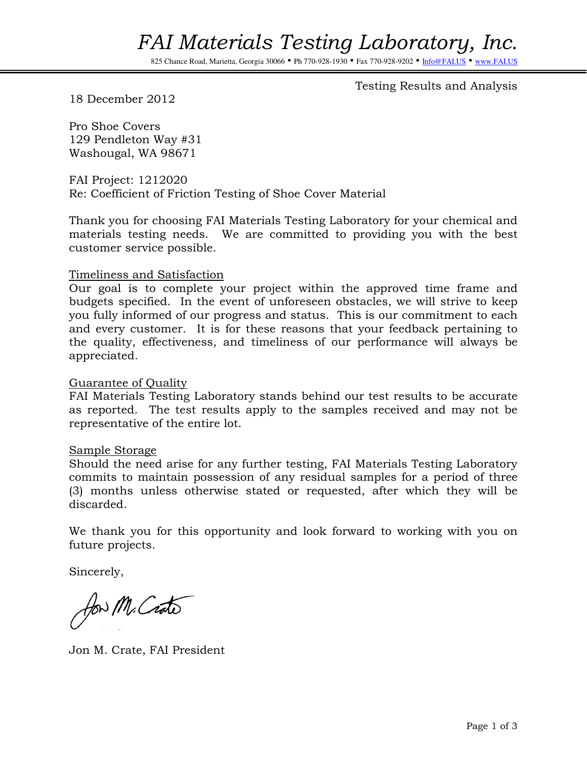825 Chance Road, Marietta, Georgia 30066 · Ph 770-928-1930 · Fax 770-928-9202 · Info

Testing Results and Analysis

18 December 2012

Pro Shoe Covers 129 Pendleton Way #31 Washougal, WA 98671

FAI Project: 1212020 Re: Coefficient of Friction Testing of Shoe Cover Material

Thank you for choosing FAI Materials Testing Laboratory for your chemical and materials testing needs. We are committed to providing you with the best customer service possible.

#### Timeliness and Satisfaction

Our goal is to complete your project within the approved time frame and budgets specified. In the event of unforeseen obstacles, we will strive to keep you fully informed of our progress and status. This is our commitment to each and every customer. It is for these reasons that your feedback pertaining to the quality, effectiveness, and timeliness of our performance will always be appreciated.

#### Guarantee of Quality

FAI Materials Testing Laboratory stands behind our test results to be accurate as reported. The test results apply to the samples received and may not be representative of the entire lot.

#### Sample Storage

Should the need arise for any further testing, FAI Materials Testing Laboratory commits to maintain possession of any residual samples for a period of three (3) months unless otherwise stated or requested, after which they will be discarded.

We thank you for this opportunity and look forward to working with you on future projects.

Sincerely,

for M. Crato

Jon M. Crate, FAI President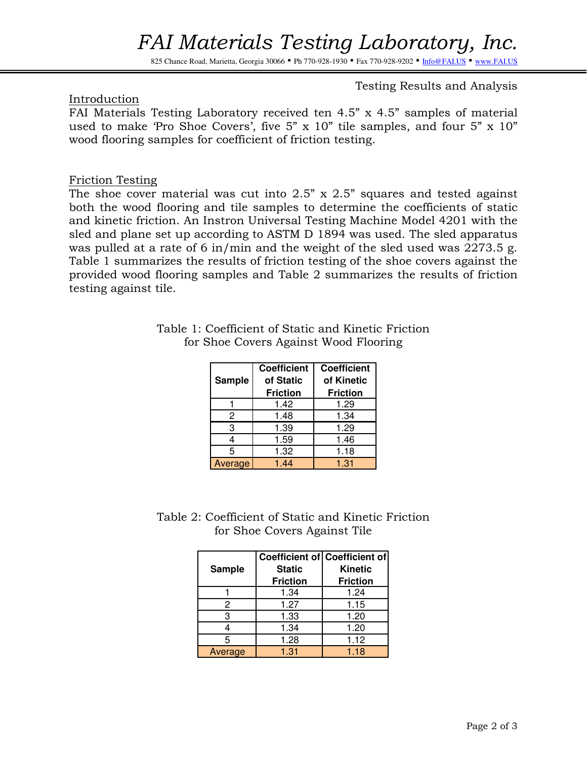## FAI Materials Testing Laboratory, Inc.

825 Chance Road, Marietta, Georgia 30066 · Ph 770-928-1930 · Fax 770-928-9202 · Info@FAI.US · www.FAI.US

### Testing Results and Analysis

#### Introduction

FAI Materials Testing Laboratory received ten 4.5" x 4.5" samples of material used to make 'Pro Shoe Covers', five 5" x 10" tile samples, and four 5" x 10" wood flooring samples for coefficient of friction testing.

#### Friction Testing

The shoe cover material was cut into  $2.5$ " x  $2.5$ " squares and tested against both the wood flooring and tile samples to determine the coefficients of static and kinetic friction. An Instron Universal Testing Machine Model 4201 with the sled and plane set up according to ASTM D 1894 was used. The sled apparatus was pulled at a rate of 6 in/min and the weight of the sled used was 2273.5 g. Table 1 summarizes the results of friction testing of the shoe covers against the provided wood flooring samples and Table 2 summarizes the results of friction testing against tile.

|         | <b>Coefficient</b> | <b>Coefficient</b> |
|---------|--------------------|--------------------|
| Sample  | of Static          | of Kinetic         |
|         | <b>Friction</b>    | <b>Friction</b>    |
|         | 1.42               | 1.29               |
| 2       | 1.48               | 1.34               |
| 3       | 1.39               | 1.29               |
| 4       | 1.59               | 1.46               |
| 5       | 1.32               | 1.18               |
| Average | 1.44               | 1.31               |

Table 1: Coefficient of Static and Kinetic Friction for Shoe Covers Against Wood Flooring

Table 2: Coefficient of Static and Kinetic Friction for Shoe Covers Against Tile

| <b>Sample</b> | <b>Static</b><br><b>Friction</b> | Coefficient of Coefficient of<br><b>Kinetic</b><br><b>Friction</b> |
|---------------|----------------------------------|--------------------------------------------------------------------|
|               | 1.34                             | 1.24                                                               |
| 2             | 1.27                             | 1.15                                                               |
| З             | 1.33                             | 1.20                                                               |
|               | 1.34                             | 1.20                                                               |
| 5             | 1.28                             | 1.12                                                               |
| Average       | 1.31                             | 1.18                                                               |